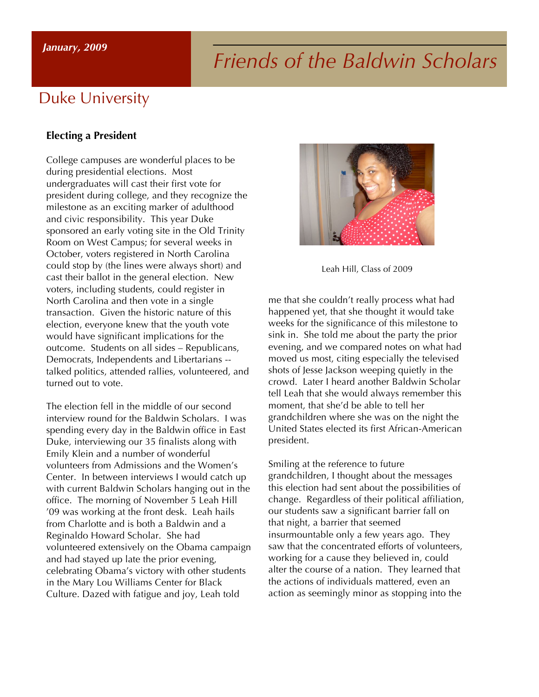# *Friends of the Baldwin Scholars January, 2009*

# Duke University

#### **Electing a President**

College campuses are wonderful places to be during presidential elections. Most undergraduates will cast their first vote for president during college, and they recognize the milestone as an exciting marker of adulthood and civic responsibility. This year Duke sponsored an early voting site in the Old Trinity Room on West Campus; for several weeks in October, voters registered in North Carolina could stop by (the lines were always short) and cast their ballot in the general election. New voters, including students, could register in North Carolina and then vote in a single transaction. Given the historic nature of this election, everyone knew that the youth vote would have significant implications for the outcome. Students on all sides – Republicans, Democrats, Independents and Libertarians - talked politics, attended rallies, volunteered, and turned out to vote.

The election fell in the middle of our second interview round for the Baldwin Scholars. I was spending every day in the Baldwin office in East Duke, interviewing our 35 finalists along with Emily Klein and a number of wonderful volunteers from Admissions and the Women's Center. In between interviews I would catch up with current Baldwin Scholars hanging out in the office. The morning of November 5 Leah Hill '09 was working at the front desk. Leah hails from Charlotte and is both a Baldwin and a Reginaldo Howard Scholar. She had volunteered extensively on the Obama campaign and had stayed up late the prior evening, celebrating Obama's victory with other students in the Mary Lou Williams Center for Black Culture. Dazed with fatigue and joy, Leah told



Leah Hill, Class of 2009

me that she couldn't really process what had happened yet, that she thought it would take weeks for the significance of this milestone to sink in. She told me about the party the prior evening, and we compared notes on what had moved us most, citing especially the televised shots of Jesse Jackson weeping quietly in the crowd. Later I heard another Baldwin Scholar tell Leah that she would always remember this moment, that she'd be able to tell her grandchildren where she was on the night the United States elected its first African-American president.

Smiling at the reference to future grandchildren, I thought about the messages this election had sent about the possibilities of change. Regardless of their political affiliation, our students saw a significant barrier fall on that night, a barrier that seemed insurmountable only a few years ago. They saw that the concentrated efforts of volunteers, working for a cause they believed in, could alter the course of a nation. They learned that the actions of individuals mattered, even an action as seemingly minor as stopping into the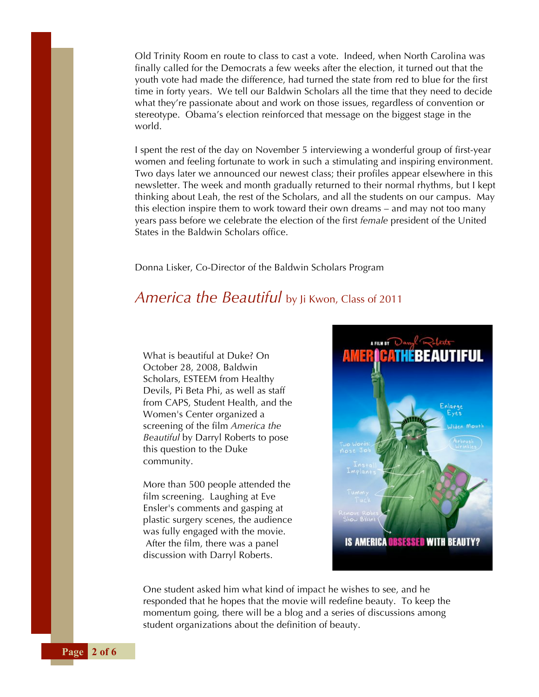Old Trinity Room en route to class to cast a vote. Indeed, when North Carolina was finally called for the Democrats a few weeks after the election, it turned out that the youth vote had made the difference, had turned the state from red to blue for the first time in forty years. We tell our Baldwin Scholars all the time that they need to decide what they're passionate about and work on those issues, regardless of convention or stereotype. Obama's election reinforced that message on the biggest stage in the world.

I spent the rest of the day on November 5 interviewing a wonderful group of first-year women and feeling fortunate to work in such a stimulating and inspiring environment. Two days later we announced our newest class; their profiles appear elsewhere in this newsletter. The week and month gradually returned to their normal rhythms, but I kept thinking about Leah, the rest of the Scholars, and all the students on our campus. May this election inspire them to work toward their own dreams – and may not too many years pass before we celebrate the election of the first *female* president of the United States in the Baldwin Scholars office.

Donna Lisker, Co-Director of the Baldwin Scholars Program

# *America the Beautiful* by Ji Kwon, Class of 2011

What is beautiful at Duke? On October 28, 2008, Baldwin Scholars, ESTEEM from Healthy Devils, Pi Beta Phi, as well as staff from CAPS, Student Health, and the Women's Center organized a screening of the film *America the Beautiful* by Darryl Roberts to pose this question to the Duke community.

More than 500 people attended the film screening. Laughing at Eve Ensler's comments and gasping at plastic surgery scenes, the audience was fully engaged with the movie. After the film, there was a panel discussion with Darryl Roberts.



One student asked him what kind of impact he wishes to see, and he responded that he hopes that the movie will redefine beauty. To keep the momentum going, there will be a blog and a series of discussions among student organizations about the definition of beauty.

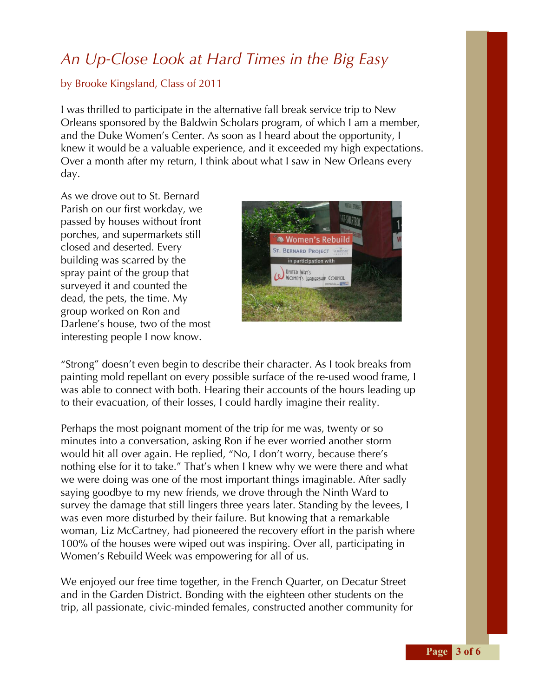# *An Up-Close Look at Hard Times in the Big Easy*

### by Brooke Kingsland, Class of 2011

I was thrilled to participate in the alternative fall break service trip to New Orleans sponsored by the Baldwin Scholars program, of which I am a member, and the Duke Women's Center. As soon as I heard about the opportunity, I knew it would be a valuable experience, and it exceeded my high expectations. Over a month after my return, I think about what I saw in New Orleans every day.

As we drove out to St. Bernard Parish on our first workday, we passed by houses without front porches, and supermarkets still closed and deserted. Every building was scarred by the spray paint of the group that surveyed it and counted the dead, the pets, the time. My group worked on Ron and Darlene's house, two of the most interesting people I now know.



"Strong" doesn't even begin to describe their character. As I took breaks from painting mold repellant on every possible surface of the re-used wood frame, I was able to connect with both. Hearing their accounts of the hours leading up to their evacuation, of their losses, I could hardly imagine their reality.

Perhaps the most poignant moment of the trip for me was, twenty or so minutes into a conversation, asking Ron if he ever worried another storm would hit all over again. He replied, "No, I don't worry, because there's nothing else for it to take." That's when I knew why we were there and what we were doing was one of the most important things imaginable. After sadly saying goodbye to my new friends, we drove through the Ninth Ward to survey the damage that still lingers three years later. Standing by the levees, I was even more disturbed by their failure. But knowing that a remarkable woman, Liz McCartney, had pioneered the recovery effort in the parish where 100% of the houses were wiped out was inspiring. Over all, participating in Women's Rebuild Week was empowering for all of us.

We enjoyed our free time together, in the French Quarter, on Decatur Street and in the Garden District. Bonding with the eighteen other students on the trip, all passionate, civic-minded females, constructed another community for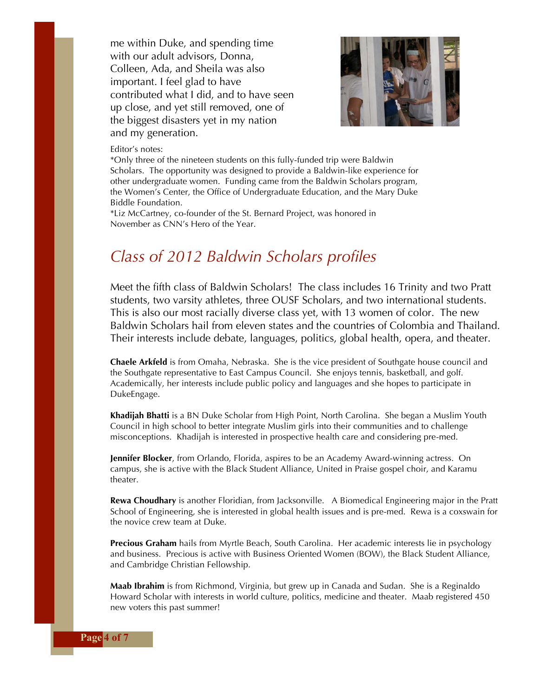me within Duke, and spending time with our adult advisors, Donna, Colleen, Ada, and Sheila was also important. I feel glad to have contributed what I did, and to have seen up close, and yet still removed, one of the biggest disasters yet in my nation and my generation.



#### Editor's notes:

\*Only three of the nineteen students on this fully-funded trip were Baldwin Scholars. The opportunity was designed to provide a Baldwin-like experience for other undergraduate women. Funding came from the Baldwin Scholars program, the Women's Center, the Office of Undergraduate Education, and the Mary Duke Biddle Foundation.

\*Liz McCartney, co-founder of the St. Bernard Project, was honored in November as CNN's Hero of the Year.

## *Class of 2012 Baldwin Scholars profiles*

Meet the fifth class of Baldwin Scholars! The class includes 16 Trinity and two Pratt students, two varsity athletes, three OUSF Scholars, and two international students. This is also our most racially diverse class yet, with 13 women of color. The new Baldwin Scholars hail from eleven states and the countries of Colombia and Thailand. Their interests include debate, languages, politics, global health, opera, and theater.

**Chaele Arkfeld** is from Omaha, Nebraska. She is the vice president of Southgate house council and the Southgate representative to East Campus Council. She enjoys tennis, basketball, and golf. Academically, her interests include public policy and languages and she hopes to participate in DukeEngage.

**Khadijah Bhatti** is a BN Duke Scholar from High Point, North Carolina. She began a Muslim Youth Council in high school to better integrate Muslim girls into their communities and to challenge misconceptions. Khadijah is interested in prospective health care and considering pre-med.

**Jennifer Blocker**, from Orlando, Florida, aspires to be an Academy Award-winning actress. On campus, she is active with the Black Student Alliance, United in Praise gospel choir, and Karamu theater.

**Rewa Choudhary** is another Floridian, from Jacksonville. A Biomedical Engineering major in the Pratt School of Engineering, she is interested in global health issues and is pre-med. Rewa is a coxswain for the novice crew team at Duke.

**Precious Graham** hails from Myrtle Beach, South Carolina. Her academic interests lie in psychology and business. Precious is active with Business Oriented Women (BOW), the Black Student Alliance, and Cambridge Christian Fellowship.

**Maab Ibrahim** is from Richmond, Virginia, but grew up in Canada and Sudan. She is a Reginaldo Howard Scholar with interests in world culture, politics, medicine and theater. Maab registered 450 new voters this past summer!

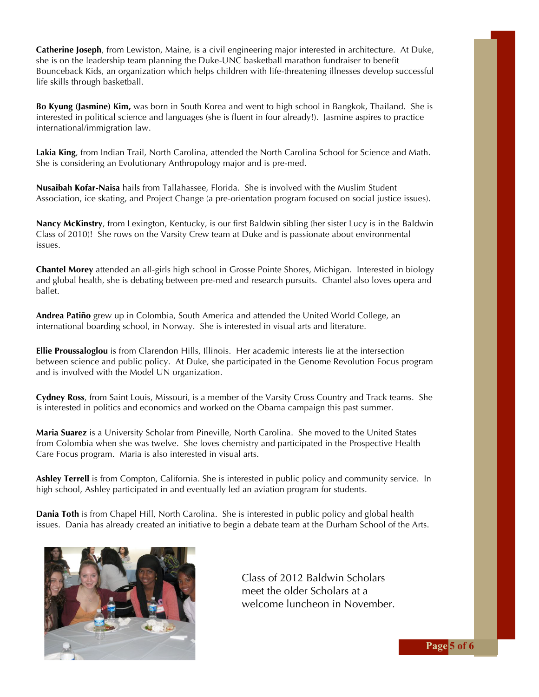**Catherine Joseph**, from Lewiston, Maine, is a civil engineering major interested in architecture. At Duke, she is on the leadership team planning the Duke-UNC basketball marathon fundraiser to benefit Bounceback Kids, an organization which helps children with life-threatening illnesses develop successful life skills through basketball.

**Bo Kyung (Jasmine) Kim,** was born in South Korea and went to high school in Bangkok, Thailand. She is interested in political science and languages (she is fluent in four already!). Jasmine aspires to practice international/immigration law.

**Lakia King**, from Indian Trail, North Carolina, attended the North Carolina School for Science and Math. She is considering an Evolutionary Anthropology major and is pre-med.

**Nusaibah Kofar-Naisa** hails from Tallahassee, Florida. She is involved with the Muslim Student Association, ice skating, and Project Change (a pre-orientation program focused on social justice issues).

**Nancy McKinstry**, from Lexington, Kentucky, is our first Baldwin sibling (her sister Lucy is in the Baldwin Class of 2010)! She rows on the Varsity Crew team at Duke and is passionate about environmental issues.

**Chantel Morey** attended an all-girls high school in Grosse Pointe Shores, Michigan. Interested in biology and global health, she is debating between pre-med and research pursuits. Chantel also loves opera and ballet.

**Andrea Patiño** grew up in Colombia, South America and attended the United World College, an international boarding school, in Norway. She is interested in visual arts and literature.

**Ellie Proussaloglou** is from Clarendon Hills, Illinois. Her academic interests lie at the intersection between science and public policy. At Duke, she participated in the Genome Revolution Focus program and is involved with the Model UN organization.

**Cydney Ross**, from Saint Louis, Missouri, is a member of the Varsity Cross Country and Track teams. She is interested in politics and economics and worked on the Obama campaign this past summer.

**Maria Suarez** is a University Scholar from Pineville, North Carolina. She moved to the United States from Colombia when she was twelve. She loves chemistry and participated in the Prospective Health Care Focus program. Maria is also interested in visual arts.

**Ashley Terrell** is from Compton, California. She is interested in public policy and community service. In high school, Ashley participated in and eventually led an aviation program for students.

**Dania Toth** is from Chapel Hill, North Carolina. She is interested in public policy and global health issues. Dania has already created an initiative to begin a debate team at the Durham School of the Arts.



Class of 2012 Baldwin Scholars meet the older Scholars at a welcome luncheon in November.